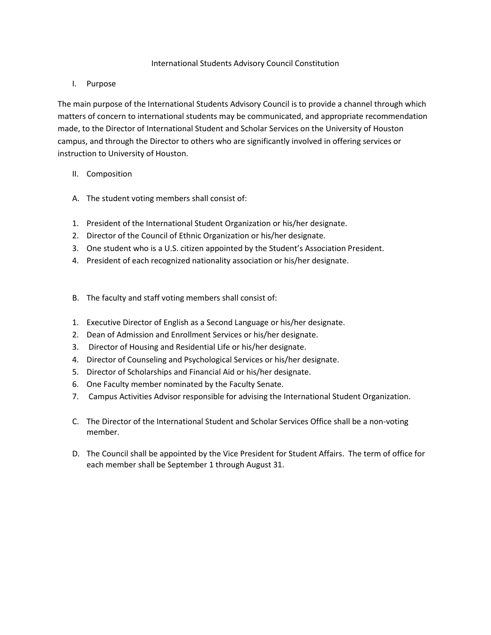### International Students Advisory Council Constitution

## I. Purpose

The main purpose of the International Students Advisory Council is to provide a channel through which matters of concern to international students may be communicated, and appropriate recommendation made, to the Director of International Student and Scholar Services on the University of Houston campus, and through the Director to others who are significantly involved in offering services or instruction to University of Houston.

# II. Composition

- A. The student voting members shall consist of:
- 1. President of the International Student Organization or his/her designate.
- 2. Director of the Council of Ethnic Organization or his/her designate.
- 3. One student who is a U.S. citizen appointed by the Student's Association President.
- 4. President of each recognized nationality association or his/her designate.
- B. The faculty and staff voting members shall consist of:
- 1. Executive Director of English as a Second Language or his/her designate.
- 2. Dean of Admission and Enrollment Services or his/her designate.
- 3. Director of Housing and Residential Life or his/her designate.
- 4. Director of Counseling and Psychological Services or his/her designate.
- 5. Director of Scholarships and Financial Aid or his/her designate.
- 6. One Faculty member nominated by the Faculty Senate.
- 7. Campus Activities Advisor responsible for advising the International Student Organization.
- C. The Director of the International Student and Scholar Services Office shall be a non-voting member.
- D. The Council shall be appointed by the Vice President for Student Affairs. The term of office for each member shall be September 1 through August 31.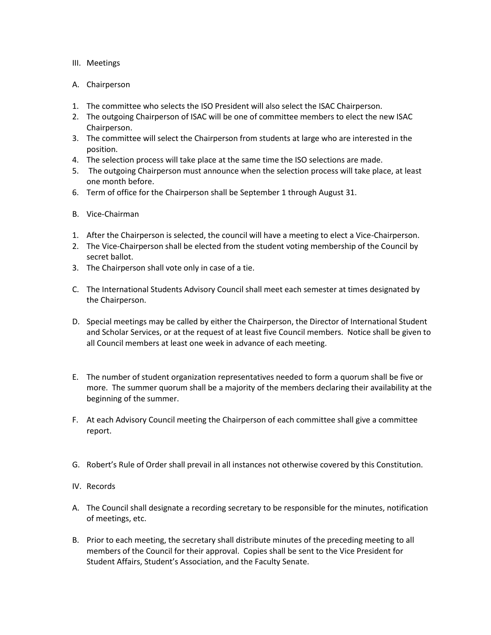### III. Meetings

- A. Chairperson
- 1. The committee who selects the ISO President will also select the ISAC Chairperson.
- 2. The outgoing Chairperson of ISAC will be one of committee members to elect the new ISAC Chairperson.
- 3. The committee will select the Chairperson from students at large who are interested in the position.
- 4. The selection process will take place at the same time the ISO selections are made.
- 5. The outgoing Chairperson must announce when the selection process will take place, at least one month before.
- 6. Term of office for the Chairperson shall be September 1 through August 31.
- B. Vice-Chairman
- 1. After the Chairperson is selected, the council will have a meeting to elect a Vice-Chairperson.
- 2. The Vice-Chairperson shall be elected from the student voting membership of the Council by secret ballot.
- 3. The Chairperson shall vote only in case of a tie.
- C. The International Students Advisory Council shall meet each semester at times designated by the Chairperson.
- D. Special meetings may be called by either the Chairperson, the Director of International Student and Scholar Services, or at the request of at least five Council members. Notice shall be given to all Council members at least one week in advance of each meeting.
- E. The number of student organization representatives needed to form a quorum shall be five or more. The summer quorum shall be a majority of the members declaring their availability at the beginning of the summer.
- F. At each Advisory Council meeting the Chairperson of each committee shall give a committee report.
- G. Robert's Rule of Order shall prevail in all instances not otherwise covered by this Constitution.
- IV. Records
- A. The Council shall designate a recording secretary to be responsible for the minutes, notification of meetings, etc.
- B. Prior to each meeting, the secretary shall distribute minutes of the preceding meeting to all members of the Council for their approval. Copies shall be sent to the Vice President for Student Affairs, Student's Association, and the Faculty Senate.